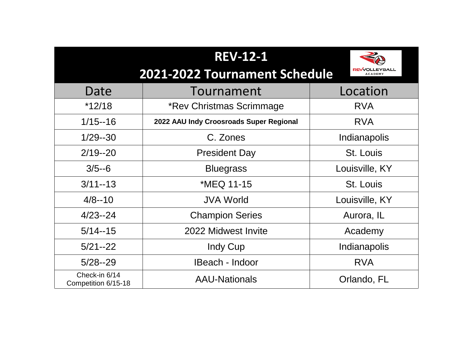|                                      | REV-12-1<br>2021-2022 Tournament Schedule | EA<br><b>REVVOLLEYBALL</b><br><b>ACADEMY</b> |
|--------------------------------------|-------------------------------------------|----------------------------------------------|
| Date                                 | Tournament                                | Location                                     |
| *12/18                               | *Rev Christmas Scrimmage                  | <b>RVA</b>                                   |
| $1/15 - 16$                          | 2022 AAU Indy Croosroads Super Regional   | <b>RVA</b>                                   |
| $1/29 - 30$                          | C. Zones                                  | Indianapolis                                 |
| $2/19 - 20$                          | <b>President Day</b>                      | <b>St. Louis</b>                             |
| $3/5 - 6$                            | <b>Bluegrass</b>                          | Louisville, KY                               |
| $3/11 - 13$                          | *MEQ 11-15                                | <b>St. Louis</b>                             |
| $4/8 - 10$                           | <b>JVA World</b>                          | Louisville, KY                               |
| $4/23 - 24$                          | <b>Champion Series</b>                    | Aurora, IL                                   |
| $5/14 - 15$                          | 2022 Midwest Invite                       | Academy                                      |
| $5/21 - 22$                          | Indy Cup                                  | <b>Indianapolis</b>                          |
| $5/28 - 29$                          | <b>IBeach - Indoor</b>                    | <b>RVA</b>                                   |
| Check-in 6/14<br>Competition 6/15-18 | <b>AAU-Nationals</b>                      | Orlando, FL                                  |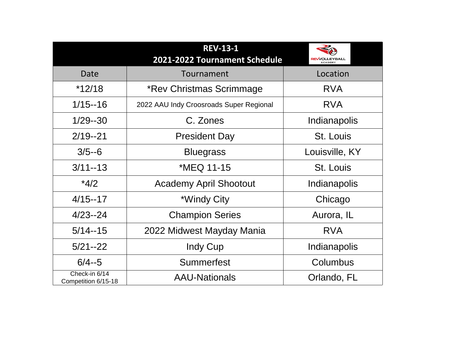|                                      | <b>REV-13-1</b><br>2021-2022 Tournament Schedule | ZA<br><b>REVVOLLEYBALL</b><br><b>ACADEMY</b> |
|--------------------------------------|--------------------------------------------------|----------------------------------------------|
| Date                                 | Tournament                                       | Location                                     |
| $*12/18$                             | *Rev Christmas Scrimmage                         | <b>RVA</b>                                   |
| $1/15 - 16$                          | 2022 AAU Indy Croosroads Super Regional          | <b>RVA</b>                                   |
| 1/29--30                             | C. Zones                                         | Indianapolis                                 |
| $2/19 - 21$                          | <b>President Day</b>                             | St. Louis                                    |
| $3/5 - 6$                            | <b>Bluegrass</b>                                 | Louisville, KY                               |
| $3/11 - 13$                          | *MEQ 11-15                                       | St. Louis                                    |
| $*4/2$                               | <b>Academy April Shootout</b>                    | Indianapolis                                 |
| $4/15 - 17$                          | *Windy City                                      | Chicago                                      |
| $4/23 - 24$                          | <b>Champion Series</b>                           | Aurora, IL                                   |
| $5/14 - 15$                          | 2022 Midwest Mayday Mania                        | <b>RVA</b>                                   |
| $5/21 - 22$                          | Indy Cup                                         | Indianapolis                                 |
| $6/4 - 5$                            | Summerfest                                       | Columbus                                     |
| Check-in 6/14<br>Competition 6/15-18 | <b>AAU-Nationals</b>                             | Orlando, FL                                  |

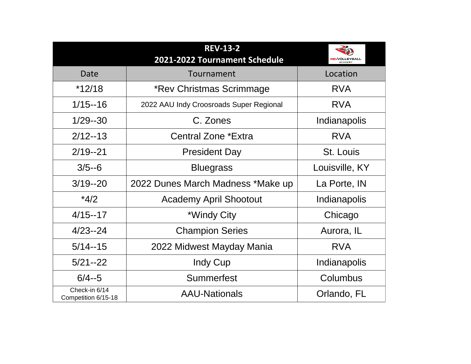| Date                                      |
|-------------------------------------------|
| *12/18                                    |
| $1/15 - 16$                               |
| 1/29--30                                  |
| $2/12 - 13$                               |
| $2/19 - 21$                               |
| $3/5 - 6$                                 |
| $3/19 - 20$                               |
| $*4/2$                                    |
| $4/15 - 17$                               |
| 4/23--24                                  |
| $5/14 - 15$                               |
| $5/21 - 22$                               |
| $6/4 - 5$                                 |
| Check-in 6/14<br>$P$ ampatition $6/15$ 10 |

|                                      | REV-13-2<br>2021-2022 Tournament Schedule | <b>REVVOLLEYBALL</b><br><b>ACADEMY</b> |
|--------------------------------------|-------------------------------------------|----------------------------------------|
| Date                                 | Tournament                                | Location                               |
| *12/18                               | *Rev Christmas Scrimmage                  | <b>RVA</b>                             |
| $1/15 - 16$                          | 2022 AAU Indy Croosroads Super Regional   | RVA                                    |
| 1/29--30                             | C. Zones                                  | Indianapolis                           |
| $2/12 - 13$                          | Central Zone *Extra                       | RVA                                    |
| $2/19 - 21$                          | <b>President Day</b>                      | St. Louis                              |
| $3/5 - 6$                            | <b>Bluegrass</b>                          | Louisville, KY                         |
| $3/19 - 20$                          | 2022 Dunes March Madness *Make up         | La Porte, IN                           |
| $*4/2$                               | <b>Academy April Shootout</b>             | Indianapolis                           |
| $4/15 - 17$                          | *Windy City                               | Chicago                                |
| $4/23 - 24$                          | <b>Champion Series</b>                    | Aurora, IL                             |
| $5/14 - 15$                          | 2022 Midwest Mayday Mania                 | RVA                                    |
| $5/21 - 22$                          | Indy Cup                                  | Indianapolis                           |
| $6/4 - 5$                            | Summerfest                                | Columbus                               |
| Check-in 6/14<br>Competition 6/15-18 | <b>AAU-Nationals</b>                      | Orlando, FL                            |
|                                      |                                           |                                        |

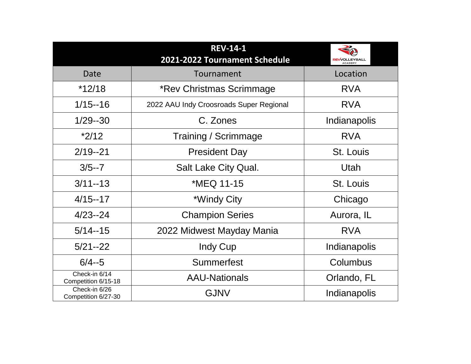|                                      | <b>IREVE14E11</b><br>2021-2022 Tournament Schedule | ZQ<br><b>REVVOLLEYBALL</b><br><b>ACADEMY</b> |
|--------------------------------------|----------------------------------------------------|----------------------------------------------|
| Date                                 | Tournament                                         | Location                                     |
| $*12/18$                             | *Rev Christmas Scrimmage                           | <b>RVA</b>                                   |
| $1/15 - 16$                          | 2022 AAU Indy Croosroads Super Regional            | RVA                                          |
| 1/29--30                             | C. Zones                                           | Indianapolis                                 |
| $*2/12$                              | Training / Scrimmage                               | RVA                                          |
| $2/19 - 21$                          | President Day                                      | St. Louis                                    |
| $3/5 - 7$                            | Salt Lake City Qual.                               | Utah                                         |
| $3/11 - 13$                          | *MEQ 11-15                                         | St. Louis                                    |
| $4/15 - 17$                          | *Windy City                                        | Chicago                                      |
| $4/23 - 24$                          | <b>Champion Series</b>                             | Aurora, IL                                   |
| $5/14 - 15$                          | 2022 Midwest Mayday Mania                          | RVA                                          |
| $5/21 - 22$                          | Indy Cup                                           | Indianapolis                                 |
| $6/4 - 5$                            | Summerfest                                         | Columbus                                     |
| Check-in 6/14<br>Competition 6/15-18 | <b>AAU-Nationals</b>                               | Orlando, FL                                  |
| Check-in 6/26<br>Competition 6/27-30 | GJNV                                               | Indianapolis                                 |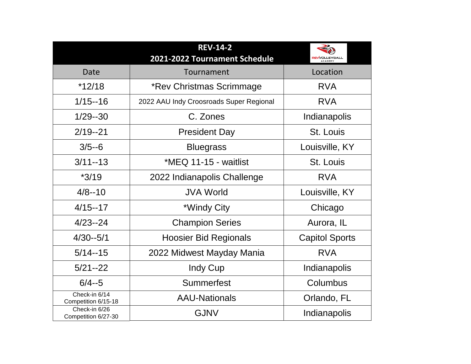|                                      | <b>REV-14-2</b><br>2021-2022 Tournament Schedule | <b>REVVOLLEYBALL</b><br><b>ACADEMY</b> |
|--------------------------------------|--------------------------------------------------|----------------------------------------|
| Date                                 | Tournament                                       | Location                               |
| *12/18                               | *Rev Christmas Scrimmage                         | <b>RVA</b>                             |
| $1/15 - 16$                          | 2022 AAU Indy Croosroads Super Regional          | <b>RVA</b>                             |
| 1/29--30                             | C. Zones                                         | Indianapolis                           |
| $2/19 - 21$                          | <b>President Day</b>                             | St. Louis                              |
| $3/5 - 6$                            | <b>Bluegrass</b>                                 | Louisville, KY                         |
| $3/11 - 13$                          | * $MEQ$ 11-15 - waitlist                         | St. Louis                              |
| $*3/19$                              | 2022 Indianapolis Challenge                      | RVA                                    |
| $4/8 - 10$                           | JVA World                                        | Louisville, KY                         |
| $4/15 - 17$                          | *Windy City                                      | Chicago                                |
| $4/23 - 24$                          | <b>Champion Series</b>                           | Aurora, IL                             |
| $4/30 - 5/1$                         | Hoosier Bid Regionals                            | <b>Capitol Sports</b>                  |
| $5/14 - 15$                          | 2022 Midwest Mayday Mania                        | <b>RVA</b>                             |
| $5/21 - 22$                          | Indy Cup                                         | Indianapolis                           |
| $6/4 - 5$                            | Summerfest                                       | Columbus                               |
| Check-in 6/14<br>Competition 6/15-18 | <b>AAU-Nationals</b>                             | Orlando, FL                            |
| Check-in 6/26<br>Competition 6/27-30 | GJNV                                             | Indianapolis                           |



| Date                                        |
|---------------------------------------------|
| *12/18                                      |
| $1/15 - 16$                                 |
| 1/29--30                                    |
| $2/19 - 21$                                 |
| $3/5 - 6$                                   |
| $3/11 - 13$                                 |
| *3/19                                       |
| $4/8 - 10$                                  |
| $4/15 - 17$                                 |
| 4/23--24                                    |
| 4/30--5/1                                   |
| $5/14 - 15$                                 |
| $5/21 - 22$                                 |
| $6/4 - 5$                                   |
| Check-in 6/14<br><b>Competition 6/15-18</b> |
| Check-in 6/26<br>Competition 6/27-30        |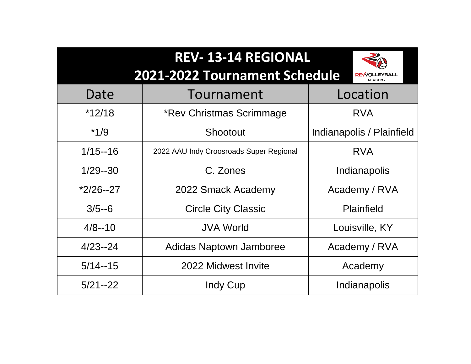

|                          | REV-13-14 REGIONAL                      |                                        |
|--------------------------|-----------------------------------------|----------------------------------------|
|                          | 2021-2022 Tournament Schedule           | <b>REVVOLLEYBALL</b><br><b>ACADEMY</b> |
| Date                     | Tournament                              | Location                               |
| $*12/18$                 | *Rev Christmas Scrimmage                | <b>RVA</b>                             |
| $*1/9$<br>$\blacksquare$ | Shootout                                | Indianapolis / Plainf                  |
| $1/15 - 16$              | 2022 AAU Indy Croosroads Super Regional | <b>RVA</b>                             |
| $1/29 - 30$              | C. Zones                                | Indianapolis                           |
| $*2/26 - 27$             | 2022 Smack Academy                      | <b>Academy / RVA</b>                   |
| $3/5 - 6$                | <b>Circle City Classic</b>              | <b>Plainfield</b>                      |
| $4/8 - 10$               | <b>JVA World</b>                        | Louisville, KY                         |
| $4/23 - 24$              | <b>Adidas Naptown Jamboree</b>          | <b>Academy / RVA</b>                   |
| $5/14 - 15$              | 2022 Midwest Invite                     | Academy                                |
| $5/21 - 22$              | Indy Cup                                | Indianapolis                           |
|                          |                                         |                                        |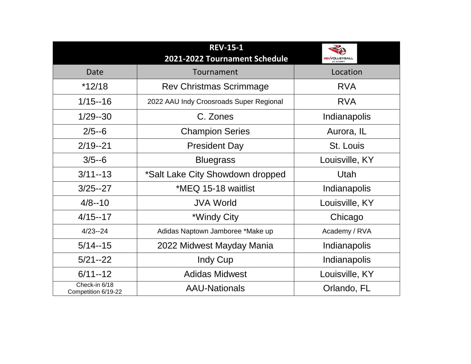|                                      | <b>REV-15-1</b><br>2021-2022 Tournament Schedule | <b>REVVOLLEYBALL</b><br><b>ACADEMY</b> |
|--------------------------------------|--------------------------------------------------|----------------------------------------|
| Date                                 | Tournament                                       | Location                               |
| *12/18                               | Rev Christmas Scrimmage                          | <b>RVA</b>                             |
| $1/15 - 16$                          | 2022 AAU Indy Croosroads Super Regional          | <b>RVA</b>                             |
| 1/29--30                             | C. Zones                                         | Indianapolis                           |
| $2/5 - 6$                            | <b>Champion Series</b>                           | Aurora, IL                             |
| $2/19 - 21$                          | <b>President Day</b>                             | St. Louis                              |
| $3/5 - 6$                            | <b>Bluegrass</b>                                 | Louisville, KY                         |
| $3/11 - 13$                          | *Salt Lake City Showdown dropped                 | Utah                                   |
| $3/25 - 27$                          | *MEQ 15-18 waitlist                              | Indianapolis                           |
| $4/8 - 10$                           | JVA World                                        | Louisville, KY                         |
| $4/15 - 17$                          | *Windy City                                      | Chicago                                |
| $4/23 - 24$                          | Adidas Naptown Jamboree *Make up                 | <b>Academy / RVA</b>                   |
| $5/14 - 15$                          | 2022 Midwest Mayday Mania                        | Indianapolis                           |
| $5/21 - 22$                          | Indy Cup                                         | Indianapolis                           |
| $6/11 - 12$                          | <b>Adidas Midwest</b>                            | Louisville, KY                         |
| Check-in 6/18<br>Competition 6/19-22 | <b>AAU-Nationals</b>                             | Orlando, FL                            |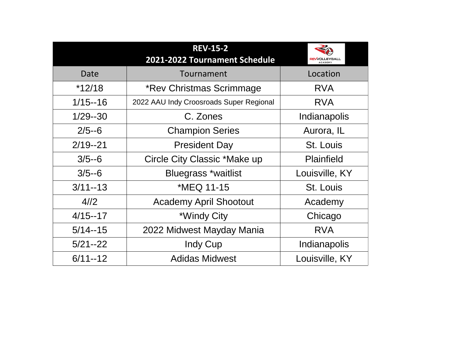| Date        |
|-------------|
| *12/18      |
| $1/15 - 16$ |
| 1/29--30    |
| $2/5 - 6$   |
| $2/19 - 21$ |
| $3/5 - 6$   |
| $3/5 - 6$   |
| $3/11 - 13$ |
| 4/12        |
| $4/15 - 17$ |
| $5/14 - 15$ |
| $5/21 - 22$ |
| $6/11 - 12$ |

# Tournament \*Rev Christmas Scrim 2022 AAU Indy Croosroads Supe C. Zones **Champion Series** President Day Circle City Classic \*Ma Bluegrass \*waitlis  $*NEQ$  11-15 Academy April Shoot \*Windy City 2022 Midwest Mayday **REV-15-2 2021-2022 Tournament**

|             | <b>REV-15-2</b><br>2021-2022 Tournament Schedule | <b>REVVOLLEYBALL</b><br><b>ACADEMY</b> |
|-------------|--------------------------------------------------|----------------------------------------|
| Date        | Tournament                                       | Location                               |
| $*12/18$    | *Rev Christmas Scrimmage                         | <b>RVA</b>                             |
| $1/15 - 16$ | 2022 AAU Indy Croosroads Super Regional          | <b>RVA</b>                             |
| 1/29--30    | C. Zones                                         | Indianapolis                           |
| $2/5 - 6$   | <b>Champion Series</b>                           | Aurora, IL                             |
| $2/19 - 21$ | <b>President Day</b>                             | St. Louis                              |
| $3/5 - 6$   | Circle City Classic *Make up                     | Plainfield                             |
| $3/5 - 6$   | Bluegrass *waitlist                              | Louisville, KY                         |
| $3/11 - 13$ | *MEQ 11-15                                       | St. Louis                              |
| 4/12        | <b>Academy April Shootout</b>                    | Academy                                |
| 4/15--17    | *Windy City                                      | Chicago                                |
| $5/14 - 15$ | 2022 Midwest Mayday Mania                        | <b>RVA</b>                             |
| $5/21 - 22$ | Indy Cup                                         | Indianapolis                           |
| $6/11 - 12$ | <b>Adidas Midwest</b>                            | Louisville, KY                         |

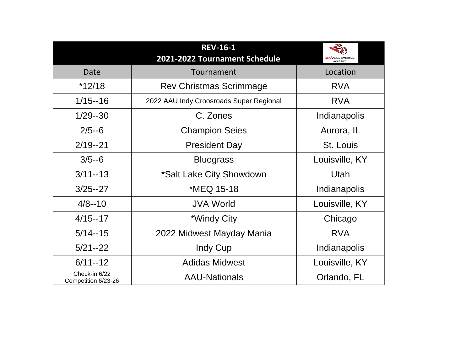### **REV-16-1**  2021-2022 Tourname

# Rev Christmas Scri

|   | REVE 16-11<br>2021-2022 Tournament Schedule | <b>REVVOLLEYBALL</b><br><b>ACADEMY</b> |
|---|---------------------------------------------|----------------------------------------|
|   | Tournament                                  | Location                               |
|   | Rev Christmas Scrimmage                     | RVA                                    |
|   | 2022 AAU Indy Croosroads Super Regional     | RVA                                    |
|   | C. Zones                                    | Indianapolis                           |
|   | <b>Champion Seies</b>                       | Aurora, IL                             |
|   | <b>President Day</b>                        | St. Louis                              |
|   | <b>Bluegrass</b>                            | Louisville, KY                         |
|   | *Salt Lake City Showdown                    | Utah                                   |
|   | *MEQ 15-18                                  | Indianapolis                           |
|   | JVA World                                   | Louisville, KY                         |
|   | *Windy City                                 | Chicago                                |
|   | 2022 Midwest Mayday Mania                   | RVA                                    |
|   | Indy Cup                                    | Indianapolis                           |
|   | <b>Adidas Midwest</b>                       | Louisville, KY                         |
| 6 | <b>AAU-Nationals</b>                        | Orlando, FL                            |
|   |                                             |                                        |



| Date                                 |
|--------------------------------------|
| *12/18                               |
| $1/15 - 16$                          |
| 1/29--30                             |
| $2/5 - 6$                            |
| $2/19 - 21$                          |
| $3/5 - 6$                            |
| $3/11 - 13$                          |
| 3/25--27                             |
| $4/8 - 10$                           |
| $4/15 - 17$                          |
| $5/14 - 15$                          |
| $5/21 - 22$                          |
| $6/11 - 12$                          |
| Check-in 6/22<br>Competition 6/23-26 |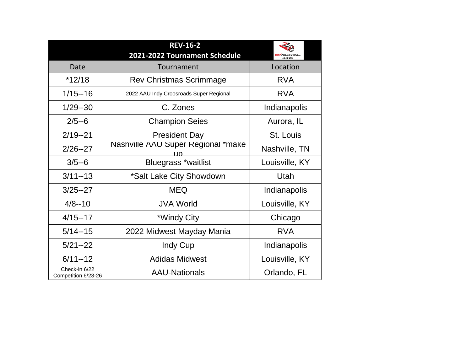#### JVA World

## \*Windy City

# Indy Cup

### Adidas Midwest

|                                    | <b>REVE16-2</b><br>2021-2022 Tournament Schedule | RA<br><b>REVVOLLEYBALL</b><br><b>ACADEMY</b> |
|------------------------------------|--------------------------------------------------|----------------------------------------------|
| Date                               | Tournament                                       | Location                                     |
| *12/18                             | Rev Christmas Scrimmage                          | <b>RVA</b>                                   |
| $1/15 - 16$                        | 2022 AAU Indy Croosroads Super Regional          | <b>RVA</b>                                   |
| 1/29--30                           | C. Zones                                         | Indianapolis                                 |
| $2/5 - 6$                          | <b>Champion Seies</b>                            | Aurora, IL                                   |
| $2/19 - 21$                        | <b>President Day</b>                             | St. Louis                                    |
| $2/26 - 27$                        | Nashville AAU Super Regional *make               | Nashville, TN                                |
| $3/5 - 6$                          | Bluegrass *waitlist                              | Louisville, KY                               |
| $3/11 - 13$                        | *Salt Lake City Showdown                         | Utah                                         |
| $3/25 - 27$                        | MEQ                                              | Indianapolis                                 |
| $4/8 - 10$                         | JVA World                                        | Louisville, KY                               |
| $4/15 - 17$                        | *Windy City                                      | Chicago                                      |
| $5/14 - 15$                        | 2022 Midwest Mayday Mania                        | RVA                                          |
| $5/21 - 22$                        | Indy Cup                                         | Indianapolis                                 |
| $6/11 - 12$                        | <b>Adidas Midwest</b>                            | Louisville, KY                               |
| Check-in 6/22<br>npetition 6/23-26 | <b>AAU-Nationals</b>                             | Orlando, FL                                  |

| Date                                 |  |
|--------------------------------------|--|
| *12/18                               |  |
| $1/15 - 16$                          |  |
| 1/29--30                             |  |
| $2/5 - 6$                            |  |
| $2/19 - 21$                          |  |
| $2/26 - 27$                          |  |
| $3/5 - 6$                            |  |
| $3/11 - 13$                          |  |
| $3/25 - 27$                          |  |
| $4/8 - 10$                           |  |
| $4/15 - 17$                          |  |
| $5/14 - 15$                          |  |
| $5/21 - 22$                          |  |
| $6/11 - 12$                          |  |
| Check-in 6/22<br>Competition 6/23-26 |  |

# **REV-16-2**

#### **2021-2022 Tournament Schedul**

#### Tournament

# Rev Christmas Scrimmage

#### C. Zones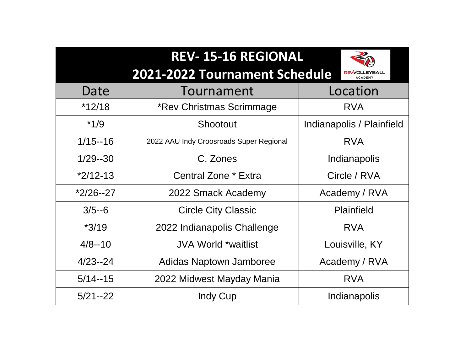

| REV-15-16 REGIONAL<br>2021-2022 Tournament Schedule | <b>REVVOLLEYBALL</b><br><b>ACADEMY</b> |
|-----------------------------------------------------|----------------------------------------|
| Tournament                                          | Location                               |
| *Rev Christmas Scrimmage                            | <b>RVA</b>                             |
| Shootout                                            | Indianapolis / Plainf                  |
| 2022 AAU Indy Croosroads Super Regional             | <b>RVA</b>                             |
| C. Zones                                            | Indianapolis                           |
| <b>Central Zone * Extra</b>                         | Circle / RVA                           |
| 2022 Smack Academy                                  | <b>Academy / RVA</b>                   |
| <b>Circle City Classic</b>                          | <b>Plainfield</b>                      |
| 2022 Indianapolis Challenge                         | <b>RVA</b>                             |
| JVA World *waitlist                                 | Louisville, KY                         |
| <b>Adidas Naptown Jamboree</b>                      | Academy / RVA                          |
| 2022 Midwest Mayday Mania                           | <b>RVA</b>                             |
| Indy Cup                                            | Indianapolis                           |
|                                                     |                                        |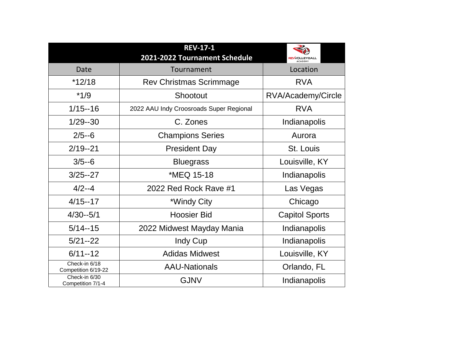| Date                                 |
|--------------------------------------|
| *12/18                               |
| $*1/9$                               |
| $1/15 - 16$                          |
| 1/29--30                             |
| $2/5 - 6$                            |
| 2/19--21                             |
| $3/5 - 6$                            |
| $3/25 - 27$                          |
| $4/2 - 4$                            |
| $4/15 - 17$                          |
| $4/30 - 5/1$                         |
| $5/14 - 15$                          |
| $5/21 - 22$                          |
| $6/11 - 12$                          |
| Check-in 6/18<br>Competition 6/19-22 |
| Check-in 6/30<br>Competition 7/1-4   |
|                                      |

Tournament Rev Christmas Scrimmage Shootout 2022 AAU Indy Croosroads Super Reg C. Zones **Champions Series** President Day Bluegrass \*MEQ 15-18 2022 Red Rock Rave #1 \*Windy City Hoosier Bid 2022 Midwest Mayday Mani Indy Cup Adidas Midwest AAU-Nationals Competition 7/1-4 Competition 7/1-4  **REV-17-1 2021-2022 Tournament Sche** 

| Pdule  | <b>REVVOLLEYBALL</b><br><b>ACADEMY</b> |  |
|--------|----------------------------------------|--|
|        | Location                               |  |
| E      | <b>RVA</b>                             |  |
|        | RVA/Academy/Circle                     |  |
| gional | <b>RVA</b>                             |  |
|        | Indianapolis                           |  |
|        | Aurora                                 |  |
|        | St. Louis                              |  |
|        | Louisville, KY                         |  |
|        | Indianapolis                           |  |
|        | Las Vegas                              |  |
|        | Chicago                                |  |
|        | <b>Capitol Sports</b>                  |  |
| ria    | Indianapolis                           |  |
|        | Indianapolis                           |  |
|        | Louisville, KY                         |  |
|        | Orlando, FL                            |  |
|        | Indianapolis                           |  |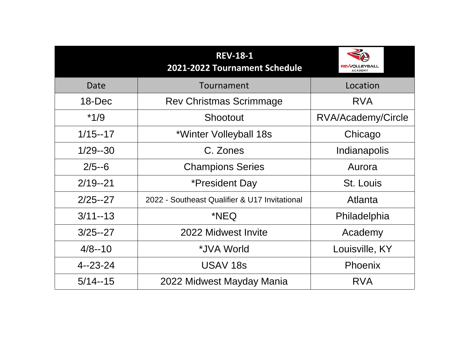| Date         |
|--------------|
| 18-Dec       |
| *1/9         |
| $1/15 - 17$  |
| 1/29--30     |
| $2/5 - 6$    |
| $2/19 - 21$  |
| 2/25--27     |
| $3/11 - 13$  |
| $3/25 - 27$  |
| $4/8 - 10$   |
| 4 -- 23 - 24 |
| $5/14 - 15$  |

# Tournament Rev Christmas Scri Shootout \*Winter Volleybal C. Zones Champions Ser \*President Da 2022 - Southeast Qualifier & 2022 Midwest In **REV-18-2021-2022 Tournam**

- \*JVA World
- USAV 18s

|             | <b>REV-18-1</b><br>2021-2022 Tournament Schedule | 2<br><b>REVVOLLEYBALL</b><br><b>ACADEMY</b> |
|-------------|--------------------------------------------------|---------------------------------------------|
| Date        | Tournament                                       | Location                                    |
| 18-Dec      | Rev Christmas Scrimmage                          |                                             |
| $*1/9$      | Shootout                                         | RVA/Academy/Circle                          |
| $1/15 - 17$ | *Winter Volleyball 18s                           | Chicago                                     |
| 1/29--30    | C. Zones                                         | Indianapolis                                |
| $2/5 - 6$   | <b>Champions Series</b>                          | Aurora                                      |
| $2/19 - 21$ | *President Day                                   | St. Louis                                   |
| $2/25 - 27$ | 2022 - Southeast Qualifier & U17 Invitational    | Atlanta                                     |
| $3/11 - 13$ | *NEQ.                                            | Philadelphia                                |
| $3/25 - 27$ | 2022 Midwest Invite                              | Academy                                     |
| $4/8 - 10$  | *JVA World                                       | Louisville, KY                              |
| 4--23-24    | USAV 18s                                         | Phoenix                                     |
| $5/14 - 15$ | 2022 Midwest Mayday Mania                        | RVA                                         |